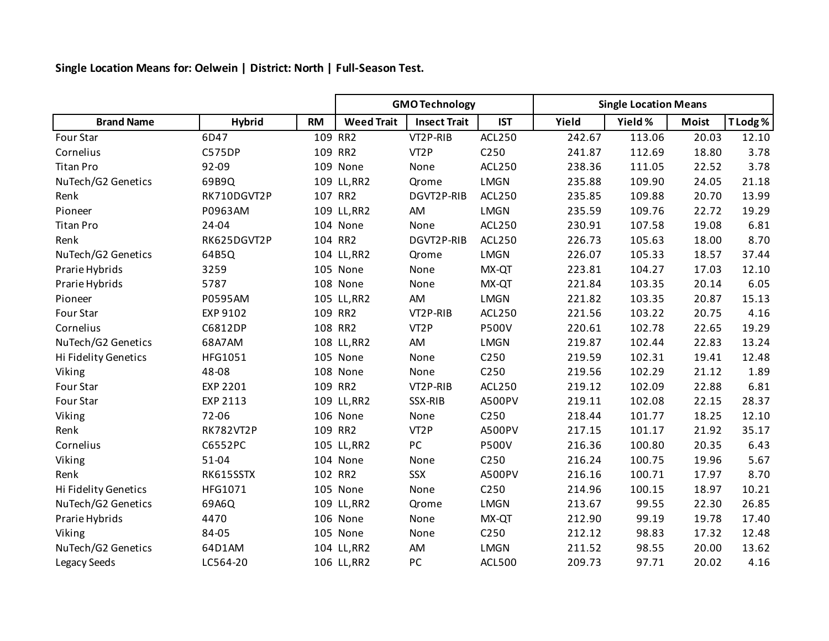## **Single Location Means for: Oelwein | District: North | Full-Season Test.**

|                      |                  |           | <b>GMO Technology</b> |                     |                  | <b>Single Location Means</b> |         |              |          |
|----------------------|------------------|-----------|-----------------------|---------------------|------------------|------------------------------|---------|--------------|----------|
| <b>Brand Name</b>    | <b>Hybrid</b>    | <b>RM</b> | <b>Weed Trait</b>     | <b>Insect Trait</b> | <b>IST</b>       | Yield                        | Yield % | <b>Moist</b> | T Lodg % |
| Four Star            | 6D47             |           | 109 RR2               | VT2P-RIB            | ACL250           | 242.67                       | 113.06  | 20.03        | 12.10    |
| Cornelius            | C575DP           |           | 109 RR2               | VT <sub>2</sub> P   | C250             | 241.87                       | 112.69  | 18.80        | 3.78     |
| <b>Titan Pro</b>     | 92-09            |           | 109 None              | None                | <b>ACL250</b>    | 238.36                       | 111.05  | 22.52        | 3.78     |
| NuTech/G2 Genetics   | 69B9Q            |           | 109 LL, RR2           | Qrome               | <b>LMGN</b>      | 235.88                       | 109.90  | 24.05        | 21.18    |
| Renk                 | RK710DGVT2P      |           | 107 RR2               | DGVT2P-RIB          | <b>ACL250</b>    | 235.85                       | 109.88  | 20.70        | 13.99    |
| Pioneer              | P0963AM          |           | 109 LL, RR2           | AM                  | <b>LMGN</b>      | 235.59                       | 109.76  | 22.72        | 19.29    |
| <b>Titan Pro</b>     | 24-04            |           | 104 None              | None                | ACL250           | 230.91                       | 107.58  | 19.08        | 6.81     |
| Renk                 | RK625DGVT2P      |           | 104 RR2               | DGVT2P-RIB          | <b>ACL250</b>    | 226.73                       | 105.63  | 18.00        | 8.70     |
| NuTech/G2 Genetics   | 64B5Q            |           | 104 LL, RR2           | Qrome               | <b>LMGN</b>      | 226.07                       | 105.33  | 18.57        | 37.44    |
| Prarie Hybrids       | 3259             |           | 105 None              | None                | MX-QT            | 223.81                       | 104.27  | 17.03        | 12.10    |
| Prarie Hybrids       | 5787             |           | 108 None              | None                | MX-QT            | 221.84                       | 103.35  | 20.14        | 6.05     |
| Pioneer              | P0595AM          |           | 105 LL, RR2           | AM                  | <b>LMGN</b>      | 221.82                       | 103.35  | 20.87        | 15.13    |
| Four Star            | EXP 9102         |           | 109 RR2               | VT2P-RIB            | <b>ACL250</b>    | 221.56                       | 103.22  | 20.75        | 4.16     |
| Cornelius            | C6812DP          |           | 108 RR2               | VT <sub>2</sub> P   | <b>P500V</b>     | 220.61                       | 102.78  | 22.65        | 19.29    |
| NuTech/G2 Genetics   | 68A7AM           |           | 108 LL, RR2           | AM                  | <b>LMGN</b>      | 219.87                       | 102.44  | 22.83        | 13.24    |
| Hi Fidelity Genetics | HFG1051          |           | 105 None              | None                | C250             | 219.59                       | 102.31  | 19.41        | 12.48    |
| Viking               | 48-08            |           | 108 None              | None                | C250             | 219.56                       | 102.29  | 21.12        | 1.89     |
| Four Star            | <b>EXP 2201</b>  |           | 109 RR2               | VT2P-RIB            | <b>ACL250</b>    | 219.12                       | 102.09  | 22.88        | 6.81     |
| Four Star            | EXP 2113         |           | 109 LL, RR2           | SSX-RIB             | A500PV           | 219.11                       | 102.08  | 22.15        | 28.37    |
| Viking               | 72-06            |           | 106 None              | None                | C <sub>250</sub> | 218.44                       | 101.77  | 18.25        | 12.10    |
| Renk                 | <b>RK782VT2P</b> |           | 109 RR2               | VT <sub>2</sub> P   | A500PV           | 217.15                       | 101.17  | 21.92        | 35.17    |
| Cornelius            | C6552PC          |           | 105 LL, RR2           | PC                  | <b>P500V</b>     | 216.36                       | 100.80  | 20.35        | 6.43     |
| Viking               | $51 - 04$        |           | 104 None              | None                | C250             | 216.24                       | 100.75  | 19.96        | 5.67     |
| Renk                 | RK615SSTX        |           | 102 RR2               | SSX                 | A500PV           | 216.16                       | 100.71  | 17.97        | 8.70     |
| Hi Fidelity Genetics | HFG1071          |           | 105 None              | None                | C250             | 214.96                       | 100.15  | 18.97        | 10.21    |
| NuTech/G2 Genetics   | 69A6Q            |           | 109 LL, RR2           | Qrome               | <b>LMGN</b>      | 213.67                       | 99.55   | 22.30        | 26.85    |
| Prarie Hybrids       | 4470             |           | 106 None              | None                | MX-QT            | 212.90                       | 99.19   | 19.78        | 17.40    |
| Viking               | 84-05            |           | 105 None              | None                | C250             | 212.12                       | 98.83   | 17.32        | 12.48    |
| NuTech/G2 Genetics   | 64D1AM           |           | 104 LL, RR2           | AM                  | <b>LMGN</b>      | 211.52                       | 98.55   | 20.00        | 13.62    |
| Legacy Seeds         | LC564-20         |           | 106 LL, RR2           | PC                  | <b>ACL500</b>    | 209.73                       | 97.71   | 20.02        | 4.16     |